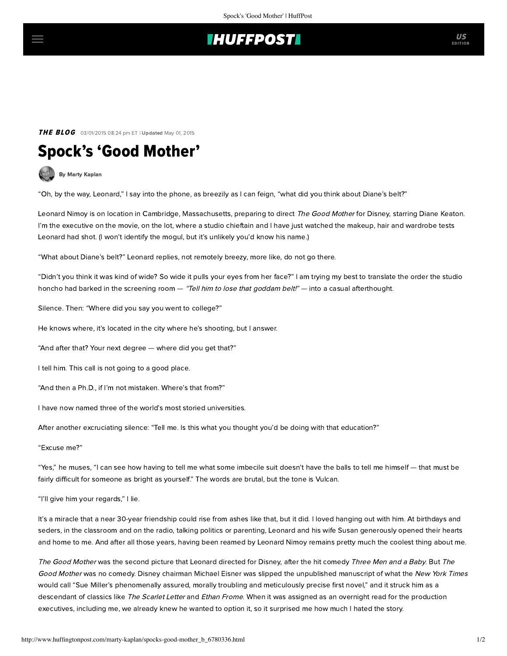## **IHUFFPOSTI**

THE BLOG 03/01/2015 08:24 pm ET | Updated May 01, 2015

## Spock's 'Good Mother'

[By Marty Kaplan](http://www.huffingtonpost.com/author/marty-kaplan)

"Oh, by the way, Leonard," I say into the phone, as breezily as I can feign, "what did you think about Diane's belt?"

Leonard Nimoy is on location in Cambridge, Massachusetts, preparing to direct The Good Mother for Disney, starring Diane Keaton. I'm the executive on the movie, on the lot, where a studio chieftain and I have just watched the makeup, hair and wardrobe tests Leonard had shot. (I won't identify the mogul, but it's unlikely you'd know his name.)

"What about Diane's belt?" Leonard replies, not remotely breezy, more like, do not go there.

"Didn't you think it was kind of wide? So wide it pulls your eyes from her face?" I am trying my best to translate the order the studio honcho had barked in the screening room — "Tell him to lose that goddam belt!" — into a casual afterthought.

Silence. Then: "Where did you say you went to college?"

He knows where, it's located in the city where he's shooting, but I answer.

"And after that? Your next degree — where did you get that?"

I tell him. This call is not going to a good place.

"And then a Ph.D., if I'm not mistaken. Where's that from?"

I have now named three of the world's most storied universities.

After another excruciating silence: "Tell me. Is this what you thought you'd be doing with that education?"

"Excuse me?"

"Yes," he muses, "I can see how having to tell me what some imbecile suit doesn't have the balls to tell me himself — that must be fairly difficult for someone as bright as yourself." The words are brutal, but the tone is Vulcan.

"I'll give him your regards," I lie.

It's a miracle that a near 30-year friendship could rise from ashes like that, but it did. I loved hanging out with him. At birthdays and seders, in the classroom and on the radio, talking politics or parenting, Leonard and his wife Susan generously opened their hearts and home to me. And after all those years, having been reamed by Leonard Nimoy remains pretty much the coolest thing about me.

The Good Mother was the second picture that Leonard directed for Disney, after the hit comedy Three Men and a Baby. But The Good Mother was no comedy. Disney chairman Michael Eisner was slipped the unpublished manuscript of what the New York Times would call "Sue Miller's phenomenally assured, morally troubling and meticulously precise first novel," and it struck him as a descendant of classics like The Scarlet Letter and Ethan Frome. When it was assigned as an overnight read for the production executives, including me, we already knew he wanted to option it, so it surprised me how much I hated the story.

US